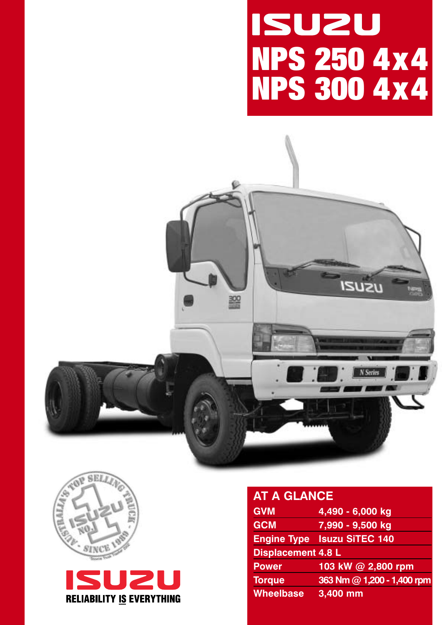# **ISUZU NPS 250 4x4 NPS 300 4x4**







# **AT A GLANCE GVM 4,490 - 6,000 kg GCM 7,990 - 9,500 kg Engine Type Isuzu SiTEC 140 Displacement 4.8 L Power 103 kW @ 2,800 rpm Torque 363 Nm @ 1,200 - 1,400 rpm**

**Wheelbase 3,400 mm**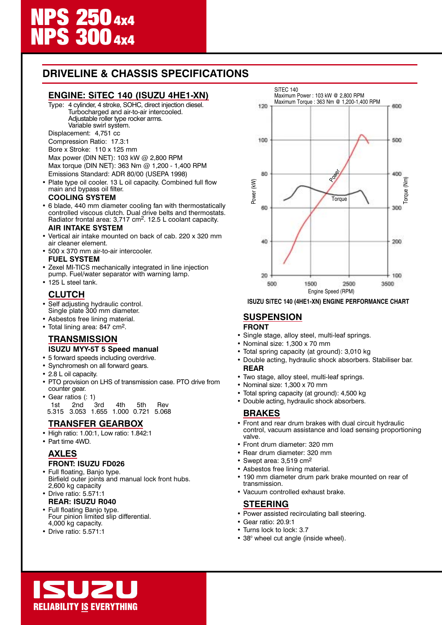## **DRIVELINE & CHASSIS SPECIFICATIONS**

#### **ENGINE: SiTEC 140 (ISUZU 4HE1-XN)**

Type: 4 cylinder, 4 stroke, SOHC, direct injection diesel. Turbocharged and air-to-air intercooled. Adjustable roller type rocker arms. Variable swirl system.

Displacement: 4,751 cc

Compression Ratio: 17.3:1

Bore x Stroke: 110 x 125 mm

Max power (DIN NET): 103 kW @ 2,800 RPM Max torque (DIN NET): 363 Nm @ 1,200 - 1,400 RPM Emissions Standard: ADR 80/00 (USEPA 1998)

• Plate type oil cooler. 13 L oil capacity. Combined full flow main and bypass oil filter.

#### **COOLING SYSTEM**

• 6 blade, 440 mm diameter cooling fan with thermostatically controlled viscous clutch. Dual drive belts and thermostats. Radiator frontal area: 3,717 cm<sup>2</sup>. 12.5 L coolant capacity.

#### **AIR INTAKE SYSTEM**

- Vertical air intake mounted on back of cab. 220 x 320 mm air cleaner element.
- 500 x 370 mm air-to-air intercooler. **FUEL SYSTEM**
- Zexel MI-TICS mechanically integrated in line injection pump. Fuel/water separator with warning lamp.
- 125 L steel tank.

#### **CLUTCH**

- Self adjusting hydraulic control. Single plate 300 mm diameter.
- Asbestos free lining material.
- Total lining area: 847 cm<sup>2</sup>.

# **TRANSMISSION**

- **ISUZU MYY-5T 5 Speed manual**
- 5 forward speeds including overdrive. • Synchromesh on all forward gears.
- 2.8 L oil capacity.
- PTO provision on LHS of transmission case. PTO drive from counter gear.
- Gear ratios (: 1)

1st 2nd 3rd 4th 5th Rev 5.315 3.053 1.655 1.000 0.721 5.068

#### **TRANSFER GEARBOX**

- High ratio: 1.00:1, Low ratio: 1.842:1
- Part time 4WD.

#### **AXLES**

#### **FRONT: ISUZU FD026**

- Full floating, Banjo type. Birfield outer joints and manual lock front hubs. 2,600 kg capacity
- Drive ratio: 5.571:1 **REAR: ISUZU R040**
- Full floating Banjo type. Four pinion limited slip differential. 4,000 kg capacity.
- Drive ratio: 5.571:1



**ISUZU SiTEC 140 (4HE1-XN) ENGINE PERFORMANCE CHART**

#### **SUSPENSION FRONT**

- Single stage, alloy steel, multi-leaf springs.
- Nominal size: 1,300 x 70 mm
- Total spring capacity (at ground): 3,010 kg
- Double acting, hydraulic shock absorbers. Stabiliser bar. **REAR**
- Two stage, alloy steel, multi-leaf springs.
- Nominal size: 1,300 x 70 mm
- Total spring capacity (at ground): 4,500 kg
- Double acting, hydraulic shock absorbers.

#### **BRAKES**

- Front and rear drum brakes with dual circuit hydraulic control, vacuum assistance and load sensing proportioning valve.
- Front drum diameter: 320 mm
- Rear drum diameter: 320 mm
- Swept area: 3,519 cm2
- Asbestos free lining material.
- 190 mm diameter drum park brake mounted on rear of transmission.
- Vacuum controlled exhaust brake.

#### **STEERING**

- Power assisted recirculating ball steering.
- Gear ratio: 20.9:1
- Turns lock to lock: 3.7
- 38<sup>°</sup> wheel cut angle (inside wheel).

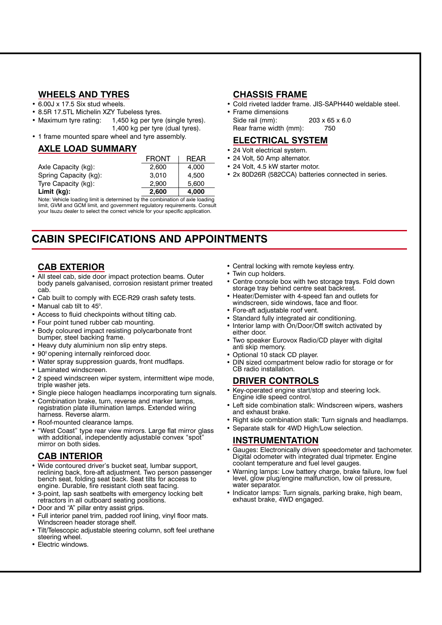#### **WHEELS AND TYRES**

- 6.00J x 17.5 Six stud wheels.
- 8.5R 17.5TL Michelin XZY Tubeless tyres.
- Maximum tyre rating: 1,450 kg per tyre (single tyres). 1,400 kg per tyre (dual tyres).
- 1 frame mounted spare wheel and tyre assembly.

#### **AXLE LOAD SUMMARY**

|                       | <b>FRONT</b> | <b>REAR</b> |
|-----------------------|--------------|-------------|
| Axle Capacity (kg):   | 2.600        | 4.000       |
| Spring Capacity (kg): | 3.010        | 4.500       |
| Tyre Capacity (kg):   | 2.900        | 5.600       |
| Limit (kg):           | 2,600        | 4,000       |

Note: Vehicle loading limit is determined by the combination of axle loading limit, GVM and GCM limit, and government regulatory requirements. Consult your Isuzu dealer to select the correct vehicle for your specific application.

# **CABIN SPECIFICATIONS AND APPOINTMENTS**

#### **CAB EXTERIOR**

- All steel cab, side door impact protection beams. Outer body panels galvanised, corrosion resistant primer treated cab.
- Cab built to comply with ECE-R29 crash safety tests.
- Manual cab tilt to 45°.
- Access to fluid checkpoints without tilting cab.
- Four point tuned rubber cab mounting.
- Body coloured impact resisting polycarbonate front bumper, steel backing frame.
- Heavy duty aluminium non slip entry steps.
- 90° opening internally reinforced door.
- Water spray suppression guards, front mudflaps.
- Laminated windscreen.
- 2 speed windscreen wiper system, intermittent wipe mode, triple washer jets.
- Single piece halogen headlamps incorporating turn signals.
- Combination brake, turn, reverse and marker lamps, registration plate illumination lamps. Extended wiring harness. Reverse alarm.
- Roof-mounted clearance lamps.
- "West Coast" type rear view mirrors. Large flat mirror glass with additional, independently adjustable convex "spot" mirror on both sides.

#### **CAB INTERIOR**

- Wide contoured driver's bucket seat, lumbar support, reclining back, fore-aft adjustment. Two person passenger bench seat, folding seat back. Seat tilts for access to engine. Durable, fire resistant cloth seat facing.
- 3-point, lap sash seatbelts with emergency locking belt retractors in all outboard seating positions.
- Door and "A" pillar entry assist grips.
- Full interior panel trim, padded roof lining, vinyl floor mats. Windscreen header storage shelf.
- Tilt/Telescopic adjustable steering column, soft feel urethane steering wheel.
- Electric windows.

#### **CHASSIS FRAME**

- Cold riveted ladder frame. JIS-SAPH440 weldable steel. • Frame dimensions
- Side rail (mm): 203 x 65 x 6.0 Rear frame width (mm): 750

#### **ELECTRICAL SYSTEM**

- 24 Volt electrical system.
- 24 Volt, 50 Amp alternator.
- 24 Volt, 4.5 kW starter motor.
- 2x 80D26R (582CCA) batteries connected in series.

- Central locking with remote keyless entry.
- Twin cup holders.
- Centre console box with two storage trays. Fold down storage tray behind centre seat backrest.
- Heater/Demister with 4-speed fan and outlets for windscreen, side windows, face and floor.
- Fore-aft adjustable roof vent.
- Standard fully integrated air conditioning.
- Interior lamp with On/Door/Off switch activated by either door.
- Two speaker Eurovox Radio/CD player with digital anti skip memory.
- Optional 10 stack CD player.
- DIN sized compartment below radio for storage or for CB radio installation.

#### **DRIVER CONTROLS**

- Key-operated engine start/stop and steering lock. Engine idle speed control.
- Left side combination stalk: Windscreen wipers, washers and exhaust brake.
- Right side combination stalk: Turn signals and headlamps.
- Separate stalk for 4WD High/Low selection.

#### **INSTRUMENTATION**

- Gauges: Electronically driven speedometer and tachometer. Digital odometer with integrated dual tripmeter. Engine coolant temperature and fuel level gauges.
- Warning lamps: Low battery charge, brake failure, low fuel level, glow plug/engine malfunction, low oil pressure, water separator.
- Indicator lamps: Turn signals, parking brake, high beam, exhaust brake, 4WD engaged.